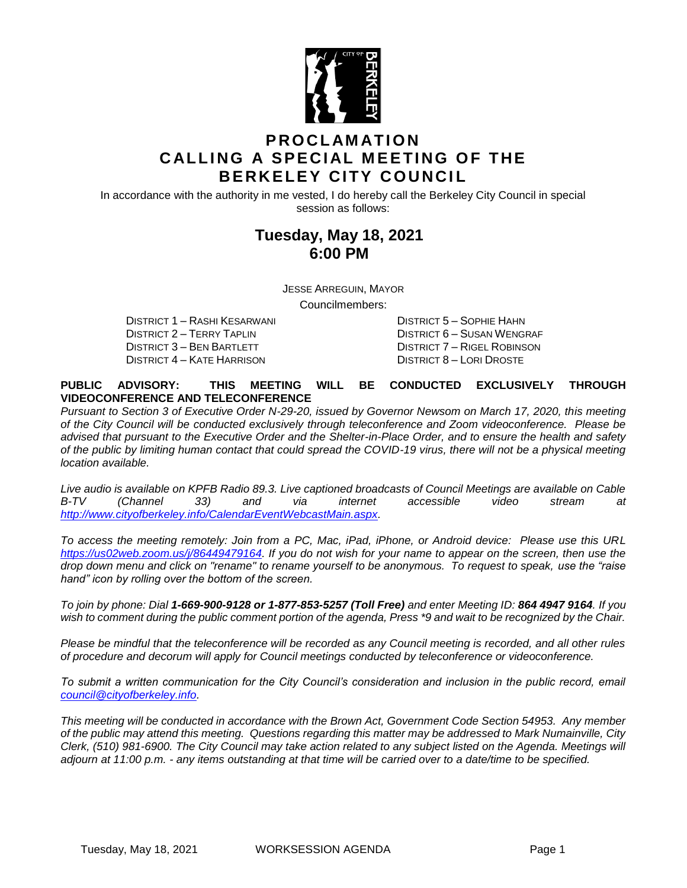

# **P R O C L AM AT I O N CALLING A SPECIAL MEETING OF THE BERKELEY CITY COUNCIL**

In accordance with the authority in me vested, I do hereby call the Berkeley City Council in special session as follows:

# **Tuesday, May 18, 2021 6:00 PM**

JESSE ARREGUIN, MAYOR

Councilmembers:

DISTRICT 2 – TERRY TAPLIN DISTRICT 6 – SUSAN WENGRAF DISTRICT 3 – BEN BARTLETT DISTRICT 7 – RIGEL ROBINSON DISTRICT 4 – KATE HARRISON DISTRICT 8 – LORI DROSTE

DISTRICT 1 – RASHI KESARWANI DISTRICT 5 – SOPHIE HAHN

### **PUBLIC ADVISORY: THIS MEETING WILL BE CONDUCTED EXCLUSIVELY THROUGH VIDEOCONFERENCE AND TELECONFERENCE**

*Pursuant to Section 3 of Executive Order N-29-20, issued by Governor Newsom on March 17, 2020, this meeting of the City Council will be conducted exclusively through teleconference and Zoom videoconference. Please be advised that pursuant to the Executive Order and the Shelter-in-Place Order, and to ensure the health and safety of the public by limiting human contact that could spread the COVID-19 virus, there will not be a physical meeting location available.* 

*Live audio is available on KPFB Radio 89.3. Live captioned broadcasts of Council Meetings are available on Cable B-TV (Channel 33) and via internet accessible video stream at [http://www.cityofberkeley.info/CalendarEventWebcastMain.aspx.](http://www.cityofberkeley.info/CalendarEventWebcastMain.aspx)*

*To access the meeting remotely: Join from a PC, Mac, iPad, iPhone, or Android device: Please use this URL [https://us02web.zoom.us/j/86449479164.](https://us02web.zoom.us/j/86449479164) If you do not wish for your name to appear on the screen, then use the drop down menu and click on "rename" to rename yourself to be anonymous. To request to speak, use the "raise hand" icon by rolling over the bottom of the screen.* 

*To join by phone: Dial 1-669-900-9128 or 1-877-853-5257 (Toll Free) and enter Meeting ID: 864 4947 9164. If you*  wish to comment during the public comment portion of the agenda, Press \*9 and wait to be recognized by the Chair.

*Please be mindful that the teleconference will be recorded as any Council meeting is recorded, and all other rules of procedure and decorum will apply for Council meetings conducted by teleconference or videoconference.*

*To submit a written communication for the City Council's consideration and inclusion in the public record, email [council@cityofberkeley.info.](mailto:council@cityofberkeley.info)*

*This meeting will be conducted in accordance with the Brown Act, Government Code Section 54953. Any member of the public may attend this meeting. Questions regarding this matter may be addressed to Mark Numainville, City Clerk, (510) 981-6900. The City Council may take action related to any subject listed on the Agenda. Meetings will adjourn at 11:00 p.m. - any items outstanding at that time will be carried over to a date/time to be specified.*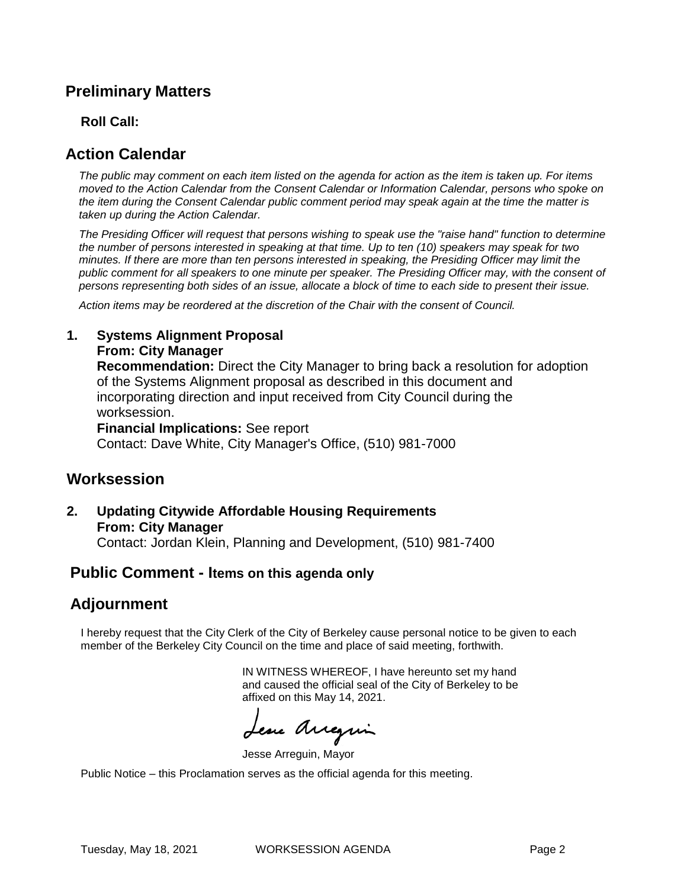# **Preliminary Matters**

### **Roll Call:**

# **Action Calendar**

*The public may comment on each item listed on the agenda for action as the item is taken up. For items moved to the Action Calendar from the Consent Calendar or Information Calendar, persons who spoke on the item during the Consent Calendar public comment period may speak again at the time the matter is taken up during the Action Calendar.*

*The Presiding Officer will request that persons wishing to speak use the "raise hand" function to determine the number of persons interested in speaking at that time. Up to ten (10) speakers may speak for two minutes. If there are more than ten persons interested in speaking, the Presiding Officer may limit the public comment for all speakers to one minute per speaker. The Presiding Officer may, with the consent of persons representing both sides of an issue, allocate a block of time to each side to present their issue.*

*Action items may be reordered at the discretion of the Chair with the consent of Council.*

### **1. Systems Alignment Proposal**

**From: City Manager**

**Recommendation:** Direct the City Manager to bring back a resolution for adoption of the Systems Alignment proposal as described in this document and incorporating direction and input received from City Council during the worksession.

**Financial Implications:** See report Contact: Dave White, City Manager's Office, (510) 981-7000

### **Worksession**

**2. Updating Citywide Affordable Housing Requirements From: City Manager**

Contact: Jordan Klein, Planning and Development, (510) 981-7400

### **Public Comment - Items on this agenda only**

## **Adjournment**

I hereby request that the City Clerk of the City of Berkeley cause personal notice to be given to each member of the Berkeley City Council on the time and place of said meeting, forthwith.

> IN WITNESS WHEREOF, I have hereunto set my hand and caused the official seal of the City of Berkeley to be affixed on this May 14, 2021.

Lesse Arregui

Jesse Arreguin, Mayor

Public Notice – this Proclamation serves as the official agenda for this meeting.